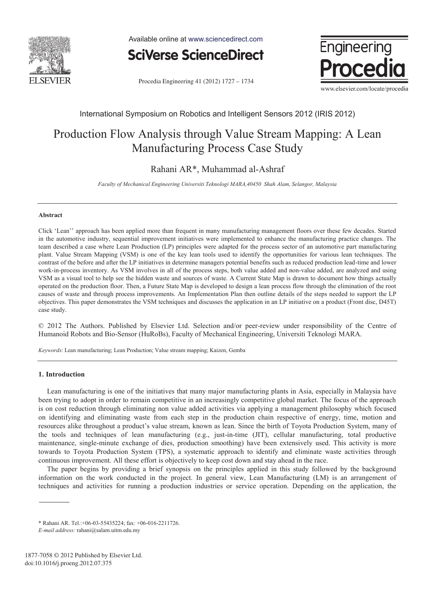

Available online at www.sciencedirect.com



Procedia Engineering 41 (2012) 1727 - 1734



www.elsevier.com/locate/procedia

### International Symposium on Robotics and Intelligent Sensors 2012 (IRIS 2012)

## Production Flow Analysis through Value Stream Mapping: A Lean Manufacturing Process Case Study

## Rahani AR\*, Muhammad al-Ashraf

*Faculty of Mechanical Engineering Universiti Teknologi MARA,40450 Shah Alam, Selangor, Malaysia* 

#### **Abstract**

Click 'Lean'' approach has been applied more than frequent in many manufacturing management floors over these few decades. Started in the automotive industry, sequential improvement initiatives were implemented to enhance the manufacturing practice changes. The team described a case where Lean Production (LP) principles were adapted for the process sector of an automotive part manufacturing plant. Value Stream Mapping (VSM) is one of the key lean tools used to identify the opportunities for various lean techniques. The contrast of the before and after the LP initiatives in determine managers potential benefits such as reduced production lead-time and lower work-in-process inventory. As VSM involves in all of the process steps, both value added and non-value added, are analyzed and using VSM as a visual tool to help see the hidden waste and sources of waste. A Current State Map is drawn to document how things actually operated on the production floor. Then, a Future State Map is developed to design a lean process flow through the elimination of the root causes of waste and through process improvements. An Implementation Plan then outline details of the steps needed to support the LP objectives. This paper demonstrates the VSM techniques and discusses the application in an LP initiative on a product (Front disc, D45T) case study.

© 2012 The Authors. Published by Elsevier Ltd. Selection and/or peer-review under responsibility of the Centre of Humanoid Robots and Bio-Sensor (HuRoBs), Faculty of Mechanical Engineering, Universiti Teknologi MARA.

*Keywords*: Lean manufacturing; Lean Production; Value stream mapping; Kaizen, Gemba

#### **1. Introduction**

Lean manufacturing is one of the initiatives that many major manufacturing plants in Asia, especially in Malaysia have been trying to adopt in order to remain competitive in an increasingly competitive global market. The focus of the approach is on cost reduction through eliminating non value added activities via applying a management philosophy which focused on identifying and eliminating waste from each step in the production chain respective of energy, time, motion and resources alike throughout a product's value stream, known as lean. Since the birth of Toyota Production System, many of the tools and techniques of lean manufacturing (e.g., just-in-time (JIT), cellular manufacturing, total productive maintenance, single-minute exchange of dies, production smoothing) have been extensively used. This activity is more towards to Toyota Production System (TPS), a systematic approach to identify and eliminate waste activities through continuous improvement. All these effort is objectively to keep cost down and stay ahead in the race.

The paper begins by providing a brief synopsis on the principles applied in this study followed by the background information on the work conducted in the project. In general view, Lean Manufacturing (LM) is an arrangement of techniques and activities for running a production industries or service operation. Depending on the application, the

<sup>\*</sup> Rahani AR. Tel.:+06-03-55435224; fax: +06-016-2211726.

*E-mail address:* rahani@salam.uitm.edu.my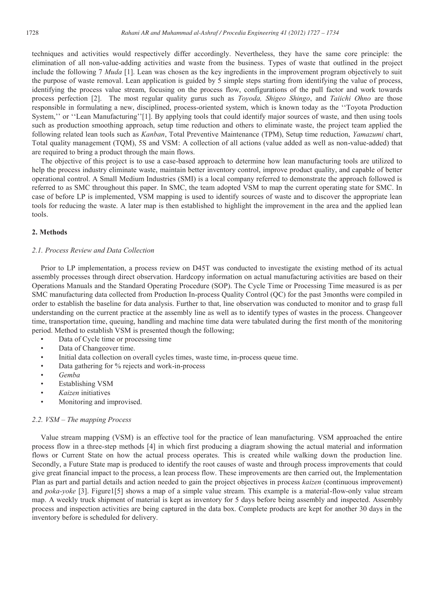techniques and activities would respectively differ accordingly. Nevertheless, they have the same core principle: the elimination of all non-value-adding activities and waste from the business. Types of waste that outlined in the project include the following 7 *Muda* [1]. Lean was chosen as the key ingredients in the improvement program objectively to suit the purpose of waste removal. Lean application is guided by 5 simple steps starting from identifying the value of process, identifying the process value stream, focusing on the process flow, configurations of the pull factor and work towards process perfection [2]. The most regular quality gurus such as *Toyoda, Shigeo Shingo*, and *Taiichi Ohno* are those responsible in formulating a new, disciplined, process-oriented system, which is known today as the ''Toyota Production System," or "Lean Manufacturing"[1]. By applying tools that could identify major sources of waste, and then using tools such as production smoothing approach, setup time reduction and others to eliminate waste, the project team applied the following related lean tools such as *Kanban*, Total Preventive Maintenance (TPM), Setup time reduction, *Yamazumi* chart, Total quality management (TQM), 5S and VSM: A collection of all actions (value added as well as non-value-added) that are required to bring a product through the main flows.

The objective of this project is to use a case-based approach to determine how lean manufacturing tools are utilized to help the process industry eliminate waste, maintain better inventory control, improve product quality, and capable of better operational control. A Small Medium Industries (SMI) is a local company referred to demonstrate the approach followed is referred to as SMC throughout this paper. In SMC, the team adopted VSM to map the current operating state for SMC. In case of before LP is implemented, VSM mapping is used to identify sources of waste and to discover the appropriate lean tools for reducing the waste. A later map is then established to highlight the improvement in the area and the applied lean tools.

#### **2. Methods**

#### *2.1. Process Review and Data Collection*

Prior to LP implementation, a process review on D45T was conducted to investigate the existing method of its actual assembly processes through direct observation. Hardcopy information on actual manufacturing activities are based on their Operations Manuals and the Standard Operating Procedure (SOP). The Cycle Time or Processing Time measured is as per SMC manufacturing data collected from Production In-process Quality Control (QC) for the past 3months were compiled in order to establish the baseline for data analysis. Further to that, line observation was conducted to monitor and to grasp full understanding on the current practice at the assembly line as well as to identify types of wastes in the process. Changeover time, transportation time, queuing, handling and machine time data were tabulated during the first month of the monitoring period. Method to establish VSM is presented though the following;

- Data of Cycle time or processing time
- Data of Changeover time.
- Initial data collection on overall cycles times, waste time, in-process queue time.
- Data gathering for % rejects and work-in-process
- *Gemba*
- Establishing VSM
- *Kaizen* initiatives
- Monitoring and improvised.

#### *2.2. VSM – The mapping Process*

Value stream mapping (VSM) is an effective tool for the practice of lean manufacturing. VSM approached the entire process flow in a three-step methods [4] in which first producing a diagram showing the actual material and information flows or Current State on how the actual process operates. This is created while walking down the production line. Secondly, a Future State map is produced to identify the root causes of waste and through process improvements that could give great financial impact to the process, a lean process flow. These improvements are then carried out, the Implementation Plan as part and partial details and action needed to gain the project objectives in process *kaizen* (continuous improvement) and *poka-yoke* [3]. Figure1[5] shows a map of a simple value stream. This example is a material-flow-only value stream map. A weekly truck shipment of material is kept as inventory for 5 days before being assembly and inspected. Assembly process and inspection activities are being captured in the data box. Complete products are kept for another 30 days in the inventory before is scheduled for delivery.